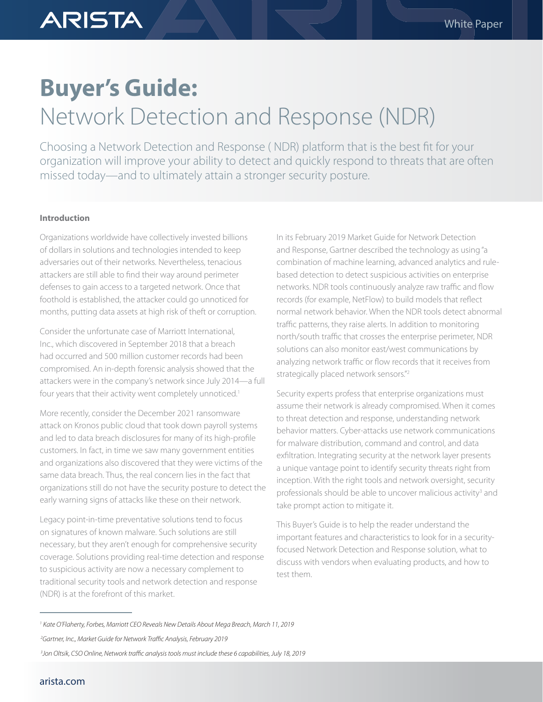# **Buyer's Guide:** Network Detection and Response (NDR)

Choosing a Network Detection and Response ( NDR) platform that is the best fit for your organization will improve your ability to detect and quickly respond to threats that are often missed today—and to ultimately attain a stronger security posture.

## **Introduction**

**ARISTA** 

Organizations worldwide have collectively invested billions of dollars in solutions and technologies intended to keep adversaries out of their networks. Nevertheless, tenacious attackers are still able to find their way around perimeter defenses to gain access to a targeted network. Once that foothold is established, the attacker could go unnoticed for months, putting data assets at high risk of theft or corruption.

Consider the unfortunate case of Marriott International, Inc., which discovered in September 2018 that a breach had occurred and 500 million customer records had been compromised. An in-depth forensic analysis showed that the attackers were in the company's network since July 2014—a full four years that their activity went completely unnoticed.<sup>1</sup>

More recently, consider the December 2021 ransomware attack on Kronos public cloud that took down payroll systems and led to data breach disclosures for many of its high-profile customers. In fact, in time we saw many government entities and organizations also discovered that they were victims of the same data breach. Thus, the real concern lies in the fact that organizations still do not have the security posture to detect the early warning signs of attacks like these on their network.

Legacy point-in-time preventative solutions tend to focus on signatures of known malware. Such solutions are still necessary, but they aren't enough for comprehensive security coverage. Solutions providing real-time detection and response to suspicious activity are now a necessary complement to traditional security tools and network detection and response (NDR) is at the forefront of this market.

In its February 2019 Market Guide for Network Detection and Response, Gartner described the technology as using "a combination of machine learning, advanced analytics and rulebased detection to detect suspicious activities on enterprise networks. NDR tools continuously analyze raw traffic and flow records (for example, NetFlow) to build models that reflect normal network behavior. When the NDR tools detect abnormal traffic patterns, they raise alerts. In addition to monitoring north/south traffic that crosses the enterprise perimeter, NDR solutions can also monitor east/west communications by analyzing network traffic or flow records that it receives from strategically placed network sensors."2

Security experts profess that enterprise organizations must assume their network is already compromised. When it comes to threat detection and response, understanding network behavior matters. Cyber-attacks use network communications for malware distribution, command and control, and data exfiltration. Integrating security at the network layer presents a unique vantage point to identify security threats right from inception. With the right tools and network oversight, security professionals should be able to uncover malicious activity<sup>3</sup> and take prompt action to mitigate it.

This Buyer's Guide is to help the reader understand the important features and characteristics to look for in a securityfocused Network Detection and Response solution, what to discuss with vendors when evaluating products, and how to test them.

*<sup>1</sup> Kate O'Flaherty, Forbes, Marriott CEO Reveals New Details About Mega Breach, March 11, 2019* 

 *<sup>2</sup>Gartner, Inc., Market Guide for Network Traffic Analysis, February 2019*

 *<sup>3</sup>Jon Oltsik, CSO Online, Network traffic analysis tools must include these 6 capabilities, July 18, 2019*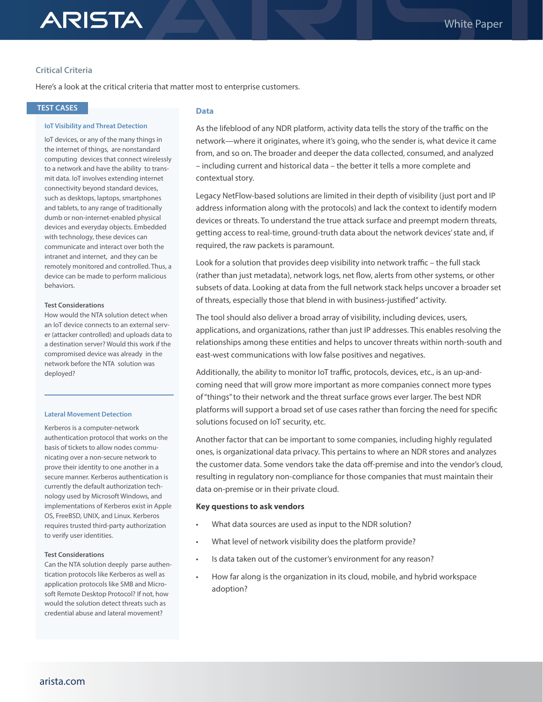# **Critical Criteria**

Here's a look at the critical criteria that matter most to enterprise customers.

## **TEST CASES**

### **IoT Visibility and Threat Detection**

IoT devices, or any of the many things in the internet of things, are nonstandard computing devices that connect wirelessly to a network and have the ability to transmit data. IoT involves extending internet connectivity beyond standard devices, such as desktops, laptops, smartphones and tablets, to any range of traditionally dumb or non-internet-enabled physical devices and everyday objects. Embedded with technology, these devices can communicate and interact over both the intranet and internet, and they can be remotely monitored and controlled. Thus, a device can be made to perform malicious behaviors.

### **Test Considerations**

How would the NTA solution detect when an IoT device connects to an external server (attacker controlled) and uploads data to a destination server? Would this work if the compromised device was already in the network before the NTA solution was deployed?

### **Lateral Movement Detection**

Kerberos is a computer-network authentication protocol that works on the basis of tickets to allow nodes communicating over a non-secure network to prove their identity to one another in a secure manner. Kerberos authentication is currently the default authorization technology used by Microsoft Windows, and implementations of Kerberos exist in Apple OS, FreeBSD, UNIX, and Linux. Kerberos requires trusted third-party authorization to verify user identities.

### **Test Considerations**

Can the NTA solution deeply parse authentication protocols like Kerberos as well as application protocols like SMB and Microsoft Remote Desktop Protocol? If not, how would the solution detect threats such as credential abuse and lateral movement?

## **Data**

As the lifeblood of any NDR platform, activity data tells the story of the traffic on the network—where it originates, where it's going, who the sender is, what device it came from, and so on. The broader and deeper the data collected, consumed, and analyzed – including current and historical data – the better it tells a more complete and contextual story.

Legacy NetFlow-based solutions are limited in their depth of visibility (just port and IP address information along with the protocols) and lack the context to identify modern devices or threats. To understand the true attack surface and preempt modern threats, getting access to real-time, ground-truth data about the network devices' state and, if required, the raw packets is paramount.

Look for a solution that provides deep visibility into network traffic – the full stack (rather than just metadata), network logs, net flow, alerts from other systems, or other subsets of data. Looking at data from the full network stack helps uncover a broader set of threats, especially those that blend in with business-justified" activity.

The tool should also deliver a broad array of visibility, including devices, users, applications, and organizations, rather than just IP addresses. This enables resolving the relationships among these entities and helps to uncover threats within north-south and east-west communications with low false positives and negatives.

Additionally, the ability to monitor IoT traffic, protocols, devices, etc., is an up-andcoming need that will grow more important as more companies connect more types of "things" to their network and the threat surface grows ever larger. The best NDR platforms will support a broad set of use cases rather than forcing the need for specific solutions focused on IoT security, etc.

Another factor that can be important to some companies, including highly regulated ones, is organizational data privacy. This pertains to where an NDR stores and analyzes the customer data. Some vendors take the data off-premise and into the vendor's cloud, resulting in regulatory non-compliance for those companies that must maintain their data on-premise or in their private cloud.

### **Key questions to ask vendors**

- What data sources are used as input to the NDR solution?
- What level of network visibility does the platform provide?
- Is data taken out of the customer's environment for any reason?
- How far along is the organization in its cloud, mobile, and hybrid workspace adoption?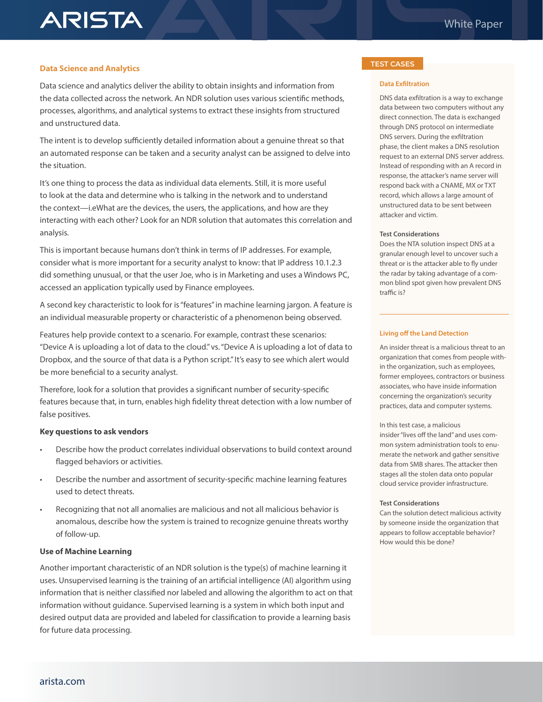## **Data Science and Analytics**

**ARISTA** 

Data science and analytics deliver the ability to obtain insights and information from the data collected across the network. An NDR solution uses various scientific methods, processes, algorithms, and analytical systems to extract these insights from structured and unstructured data.

The intent is to develop sufficiently detailed information about a genuine threat so that an automated response can be taken and a security analyst can be assigned to delve into the situation.

It's one thing to process the data as individual data elements. Still, it is more useful to look at the data and determine who is talking in the network and to understand the context—i.eWhat are the devices, the users, the applications, and how are they interacting with each other? Look for an NDR solution that automates this correlation and analysis.

This is important because humans don't think in terms of IP addresses. For example, consider what is more important for a security analyst to know: that IP address 10.1.2.3 did something unusual, or that the user Joe, who is in Marketing and uses a Windows PC, accessed an application typically used by Finance employees.

A second key characteristic to look for is "features" in machine learning jargon. A feature is an individual measurable property or characteristic of a phenomenon being observed.

Features help provide context to a scenario. For example, contrast these scenarios: "Device A is uploading a lot of data to the cloud." vs. "Device A is uploading a lot of data to Dropbox, and the source of that data is a Python script." It's easy to see which alert would be more beneficial to a security analyst.

Therefore, look for a solution that provides a significant number of security-specific features because that, in turn, enables high fidelity threat detection with a low number of false positives.

### **Key questions to ask vendors**

- Describe how the product correlates individual observations to build context around flagged behaviors or activities.
- Describe the number and assortment of security-specific machine learning features used to detect threats.
- Recognizing that not all anomalies are malicious and not all malicious behavior is anomalous, describe how the system is trained to recognize genuine threats worthy of follow-up.

### **Use of Machine Learning**

Another important characteristic of an NDR solution is the type(s) of machine learning it uses. Unsupervised learning is the training of an artificial intelligence (AI) algorithm using information that is neither classified nor labeled and allowing the algorithm to act on that information without guidance. Supervised learning is a system in which both input and desired output data are provided and labeled for classification to provide a learning basis for future data processing.

## **TEST CASES**

### **Data Exfiltration**

DNS data exfiltration is a way to exchange data between two computers without any direct connection. The data is exchanged through DNS protocol on intermediate DNS servers. During the exfiltration phase, the client makes a DNS resolution request to an external DNS server address. Instead of responding with an A record in response, the attacker's name server will respond back with a CNAME, MX or TXT record, which allows a large amount of unstructured data to be sent between attacker and victim.

### **Test Considerations**

Does the NTA solution inspect DNS at a granular enough level to uncover such a threat or is the attacker able to fly under the radar by taking advantage of a common blind spot given how prevalent DNS traffic is?

### **Living off the Land Detection**

An insider threat is a malicious threat to an organization that comes from people within the organization, such as employees, former employees, contractors or business associates, who have inside information concerning the organization's security practices, data and computer systems.

#### In this test case, a malicious

insider "lives off the land" and uses common system administration tools to enumerate the network and gather sensitive data from SMB shares. The attacker then stages all the stolen data onto popular cloud service provider infrastructure.

### **Test Considerations**

Can the solution detect malicious activity by someone inside the organization that appears to follow acceptable behavior? How would this be done?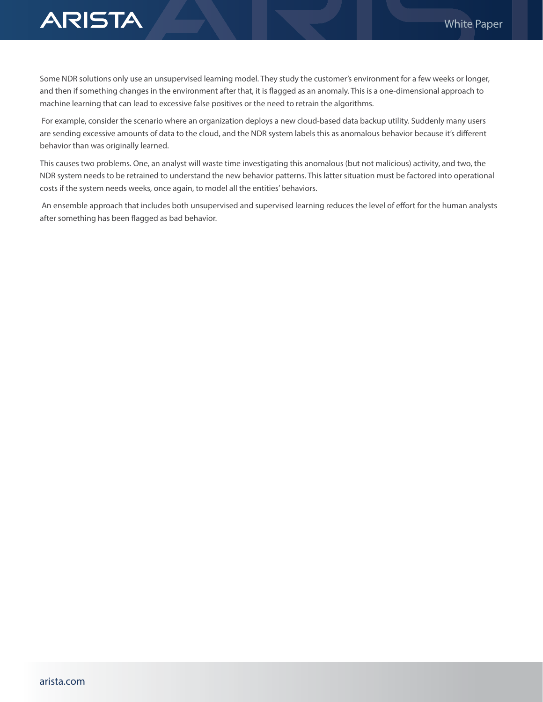

Some NDR solutions only use an unsupervised learning model. They study the customer's environment for a few weeks or longer, and then if something changes in the environment after that, it is flagged as an anomaly. This is a one-dimensional approach to machine learning that can lead to excessive false positives or the need to retrain the algorithms.

 For example, consider the scenario where an organization deploys a new cloud-based data backup utility. Suddenly many users are sending excessive amounts of data to the cloud, and the NDR system labels this as anomalous behavior because it's different behavior than was originally learned.

This causes two problems. One, an analyst will waste time investigating this anomalous (but not malicious) activity, and two, the NDR system needs to be retrained to understand the new behavior patterns. This latter situation must be factored into operational costs if the system needs weeks, once again, to model all the entities' behaviors.

 An ensemble approach that includes both unsupervised and supervised learning reduces the level of effort for the human analysts after something has been flagged as bad behavior.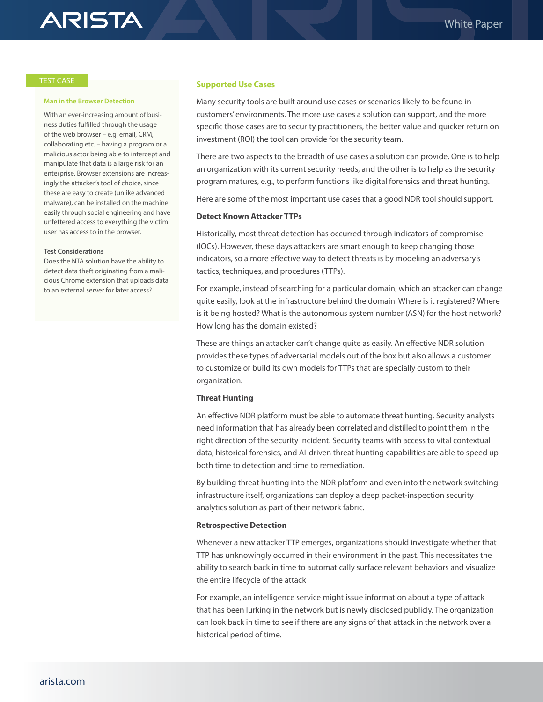# **ARISTA**

### TEST CASE

### **Man in the Browser Detection**

With an ever-increasing amount of business duties fulfilled through the usage of the web browser – e.g. email, CRM, collaborating etc. – having a program or a malicious actor being able to intercept and manipulate that data is a large risk for an enterprise. Browser extensions are increasingly the attacker's tool of choice, since these are easy to create (unlike advanced malware), can be installed on the machine easily through social engineering and have unfettered access to everything the victim user has access to in the browser.

### **Test Considerations**

Does the NTA solution have the ability to detect data theft originating from a malicious Chrome extension that uploads data to an external server for later access?

### **Supported Use Cases**

Many security tools are built around use cases or scenarios likely to be found in customers' environments. The more use cases a solution can support, and the more specific those cases are to security practitioners, the better value and quicker return on investment (ROI) the tool can provide for the security team.

There are two aspects to the breadth of use cases a solution can provide. One is to help an organization with its current security needs, and the other is to help as the security program matures, e.g., to perform functions like digital forensics and threat hunting.

Here are some of the most important use cases that a good NDR tool should support.

### **Detect Known Attacker TTPs**

Historically, most threat detection has occurred through indicators of compromise (IOCs). However, these days attackers are smart enough to keep changing those indicators, so a more effective way to detect threats is by modeling an adversary's tactics, techniques, and procedures (TTPs).

For example, instead of searching for a particular domain, which an attacker can change quite easily, look at the infrastructure behind the domain. Where is it registered? Where is it being hosted? What is the autonomous system number (ASN) for the host network? How long has the domain existed?

These are things an attacker can't change quite as easily. An effective NDR solution provides these types of adversarial models out of the box but also allows a customer to customize or build its own models for TTPs that are specially custom to their organization.

### **Threat Hunting**

An effective NDR platform must be able to automate threat hunting. Security analysts need information that has already been correlated and distilled to point them in the right direction of the security incident. Security teams with access to vital contextual data, historical forensics, and AI-driven threat hunting capabilities are able to speed up both time to detection and time to remediation.

By building threat hunting into the NDR platform and even into the network switching infrastructure itself, organizations can deploy a deep packet-inspection security analytics solution as part of their network fabric.

### **Retrospective Detection**

Whenever a new attacker TTP emerges, organizations should investigate whether that TTP has unknowingly occurred in their environment in the past. This necessitates the ability to search back in time to automatically surface relevant behaviors and visualize the entire lifecycle of the attack

For example, an intelligence service might issue information about a type of attack that has been lurking in the network but is newly disclosed publicly. The organization can look back in time to see if there are any signs of that attack in the network over a historical period of time.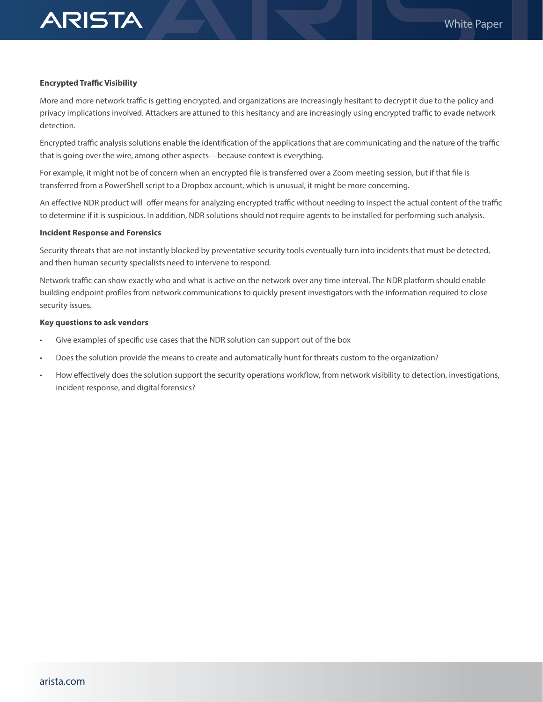### **Encrypted Traffic Visibility**

**ARISTA** 

More and more network traffic is getting encrypted, and organizations are increasingly hesitant to decrypt it due to the policy and privacy implications involved. Attackers are attuned to this hesitancy and are increasingly using encrypted traffic to evade network detection.

Encrypted traffic analysis solutions enable the identification of the applications that are communicating and the nature of the traffic that is going over the wire, among other aspects—because context is everything.

For example, it might not be of concern when an encrypted file is transferred over a Zoom meeting session, but if that file is transferred from a PowerShell script to a Dropbox account, which is unusual, it might be more concerning.

An effective NDR product will offer means for analyzing encrypted traffic without needing to inspect the actual content of the traffic to determine if it is suspicious. In addition, NDR solutions should not require agents to be installed for performing such analysis.

## **Incident Response and Forensics**

Security threats that are not instantly blocked by preventative security tools eventually turn into incidents that must be detected, and then human security specialists need to intervene to respond.

Network traffic can show exactly who and what is active on the network over any time interval. The NDR platform should enable building endpoint profiles from network communications to quickly present investigators with the information required to close security issues.

### **Key questions to ask vendors**

- Give examples of specific use cases that the NDR solution can support out of the box
- Does the solution provide the means to create and automatically hunt for threats custom to the organization?
- How effectively does the solution support the security operations workflow, from network visibility to detection, investigations, incident response, and digital forensics?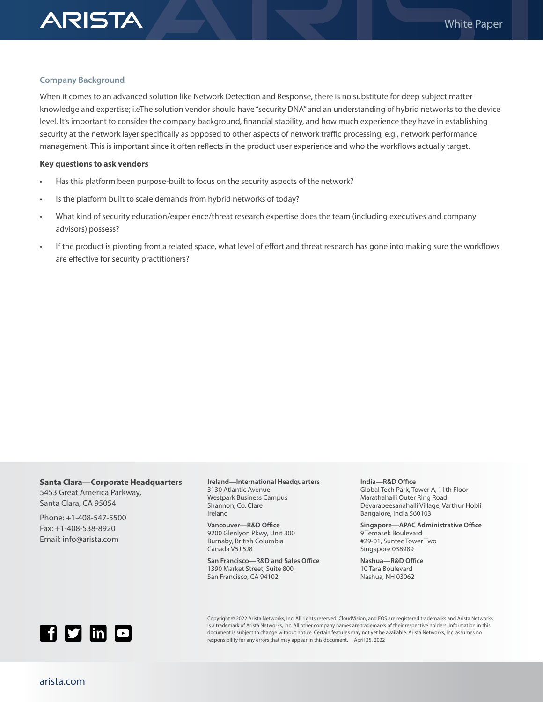

## **Company Background**

When it comes to an advanced solution like Network Detection and Response, there is no substitute for deep subject matter knowledge and expertise; i.eThe solution vendor should have "security DNA" and an understanding of hybrid networks to the device level. It's important to consider the company background, financial stability, and how much experience they have in establishing security at the network layer specifically as opposed to other aspects of network traffic processing, e.g., network performance management. This is important since it often reflects in the product user experience and who the workflows actually target.

### **Key questions to ask vendors**

- Has this platform been purpose-built to focus on the security aspects of the network?
- Is the platform built to scale demands from hybrid networks of today?
- What kind of security education/experience/threat research expertise does the team (including executives and company advisors) possess?
- If the product is pivoting from a related space, what level of effort and threat research has gone into making sure the workflows are effective for security practitioners?

## **Santa Clara—Corporate Headquarters** 5453 Great America Parkway, Santa Clara, CA 95054

Phone: +1-408-547-5500 Fax: +1-408-538-8920 Email: info@arista.com

**Ireland—International Headquarters** 3130 Atlantic Avenue Westpark Business Campus Shannon, Co. Clare Ireland

**Vancouver—R&D Office** 9200 Glenlyon Pkwy, Unit 300 Burnaby, British Columbia Canada V5J 5J8

**San Francisco—R&D and Sales Office** 1390 Market Street, Suite 800 San Francisco, CA 94102

#### **India—R&D Office**

Global Tech Park, Tower A, 11th Floor Marathahalli Outer Ring Road Devarabeesanahalli Village, Varthur Hobli Bangalore, India 560103

**Singapore—APAC Administrative Office** 9 Temasek Boulevard #29-01, Suntec Tower Two Singapore 038989

**Nashua—R&D Office** 10 Tara Boulevard Nashua, NH 03062



Copyright © 2022 Arista Networks, Inc. All rights reserved. CloudVision, and EOS are registered trademarks and Arista Networks is a trademark of Arista Networks, Inc. All other company names are trademarks of their respective holders. Information in this document is subject to change without notice. Certain features may not yet be available. Arista Networks, Inc. assumes no responsibility for any errors that may appear in this document. April 25, 2022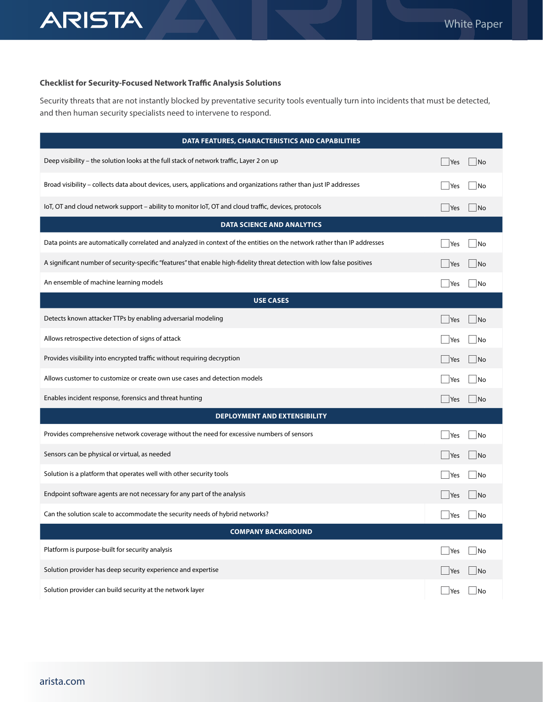

# **Checklist for Security-Focused Network Traffic Analysis Solutions**

Security threats that are not instantly blocked by preventative security tools eventually turn into incidents that must be detected, and then human security specialists need to intervene to respond.

| DATA FEATURES, CHARACTERISTICS AND CAPABILITIES                                                                          |                                    |
|--------------------------------------------------------------------------------------------------------------------------|------------------------------------|
| Deep visibility - the solution looks at the full stack of network traffic, Layer 2 on up                                 | Yes<br> No                         |
| Broad visibility - collects data about devices, users, applications and organizations rather than just IP addresses      | Yes<br>∣No                         |
| loT, OT and cloud network support - ability to monitor loT, OT and cloud traffic, devices, protocols                     | Yes<br>$\overline{\mathsf{No}}$    |
| <b>DATA SCIENCE AND ANALYTICS</b>                                                                                        |                                    |
| Data points are automatically correlated and analyzed in context of the entities on the network rather than IP addresses | <b>Yes</b><br>No                   |
| A significant number of security-specific "features" that enable high-fidelity threat detection with low false positives | Yes<br>$\overline{\mathsf{No}}$    |
| An ensemble of machine learning models                                                                                   | $\rfloor$ Yes<br>No                |
| <b>USE CASES</b>                                                                                                         |                                    |
| Detects known attacker TTPs by enabling adversarial modeling                                                             | <b>Yes</b><br> No                  |
| Allows retrospective detection of signs of attack                                                                        | Yes<br>l No                        |
| Provides visibility into encrypted traffic without requiring decryption                                                  | Yes<br> No                         |
| Allows customer to customize or create own use cases and detection models                                                | No<br><b>Yes</b>                   |
| Enables incident response, forensics and threat hunting                                                                  | Yes<br>$\overline{\phantom{a}}$ No |
| <b>DEPLOYMENT AND EXTENSIBILITY</b>                                                                                      |                                    |
| Provides comprehensive network coverage without the need for excessive numbers of sensors                                | <b>Yes</b><br>No                   |
| Sensors can be physical or virtual, as needed                                                                            | Yes<br> No                         |
| Solution is a platform that operates well with other security tools                                                      | <b>No</b><br> Yes                  |
| Endpoint software agents are not necessary for any part of the analysis                                                  | Yes<br>$\overline{\mathsf{No}}$    |
| Can the solution scale to accommodate the security needs of hybrid networks?                                             | Yes<br>$\overline{\mathsf{No}}$    |
| <b>COMPANY BACKGROUND</b>                                                                                                |                                    |
| Platform is purpose-built for security analysis                                                                          | No<br><b>Yes</b>                   |
| Solution provider has deep security experience and expertise                                                             | No<br> Yes                         |
| Solution provider can build security at the network layer                                                                | Yes<br>No                          |